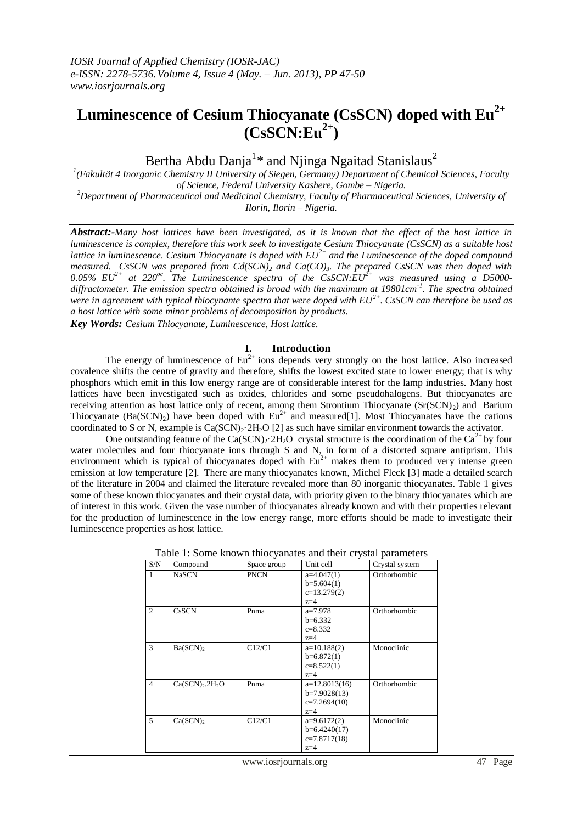# **Luminescence of Cesium Thiocyanate (CsSCN) doped with Eu2+**  $(CsSCN:Eu^{2+})$

Bertha Abdu Danja<sup>1</sup>\* and Njinga Ngaitad Stanislaus<sup>2</sup>

*1 (Fakultät 4 Inorganic Chemistry II University of Siegen, Germany) Department of Chemical Sciences, Faculty of Science, Federal University Kashere, Gombe – Nigeria. <sup>2</sup>Department of Pharmaceutical and Medicinal Chemistry, Faculty of Pharmaceutical Sciences, University of* 

*Ilorin, Ilorin – Nigeria.*

*Abstract:-Many host lattices have been investigated, as it is known that the effect of the host lattice in luminescence is complex, therefore this work seek to investigate Cesium Thiocyanate (CsSCN) as a suitable host lattice in luminescence. Cesium Thiocyanate is doped with EU2+ and the Luminescence of the doped compound measured. CsSCN was prepared from Cd(SCN)<sup>2</sup> and Ca(CO)3. The prepared CsSCN was then doped with 0.05% EU2+ at 220oc. The Luminescence spectra of the CsSCN:EU2+ was measured using a D5000 diffractometer. The emission spectra obtained is broad with the maximum at 19801cm-1 . The spectra obtained were in agreement with typical thiocynante spectra that were doped with EU2+. CsSCN can therefore be used as a host lattice with some minor problems of decomposition by products.*

*Key Words: Cesium Thiocyanate, Luminescence, Host lattice.*

## **I. Introduction**

The energy of luminescence of  $Eu^{2+}$  ions depends very strongly on the host lattice. Also increased covalence shifts the centre of gravity and therefore, shifts the lowest excited state to lower energy; that is why phosphors which emit in this low energy range are of considerable interest for the lamp industries. Many host lattices have been investigated such as oxides, chlorides and some pseudohalogens. But thiocyanates are receiving attention as host lattice only of recent, among them Strontium Thiocyanate  $(Sr(SCN)<sub>2</sub>)$  and Barium Thiocyanate  $(Ba(SCN)_2)$  have been doped with  $Eu^{2+}$  and measured[1]. Most Thiocyanates have the cations coordinated to S or N, example is  $Ca(SCN)_{2}·2H_{2}O$  [2] as such have similar environment towards the activator.

One outstanding feature of the  $Ca(SCN)_{2} \cdot 2H_{2}O$  crystal structure is the coordination of the Ca<sup>2+</sup> by four water molecules and four thiocyanate ions through S and N, in form of a distorted square antiprism. This environment which is typical of thiocyanates doped with  $Eu^{2+}$  makes them to produced very intense green emission at low temperature [2]. There are many thiocyanates known, Michel Fleck [3] made a detailed search of the literature in 2004 and claimed the literature revealed more than 80 inorganic thiocyanates. Table 1 gives some of these known thiocyanates and their crystal data, with priority given to the binary thiocyanates which are of interest in this work. Given the vase number of thiocyanates already known and with their properties relevant for the production of luminescence in the low energy range, more efforts should be made to investigate their luminescence properties as host lattice.

| S/N            | Compound                                | Space group | Unit cell                                                    | Crystal system |
|----------------|-----------------------------------------|-------------|--------------------------------------------------------------|----------------|
| $\overline{1}$ | <b>NaSCN</b>                            | <b>PNCN</b> | $a=4.047(1)$<br>$b=5.604(1)$<br>$c=13.279(2)$<br>$z=4$       | Orthorhombic   |
| $\overline{2}$ | <b>CsSCN</b>                            | Pnma        | $a=7.978$<br>$b=6.332$<br>$c = 8.332$<br>$z=4$               | Orthorhombic   |
| 3              | Ba(SCN) <sub>2</sub>                    | C12/C1      | $a=10.188(2)$<br>$b=6.872(1)$<br>$c=8.522(1)$<br>$z=4$       | Monoclinic     |
| $\overline{4}$ | Ca(SCN) <sub>2</sub> .2H <sub>2</sub> O | Pnma        | $a=12.8013(16)$<br>$b=7.9028(13)$<br>$c=7.2694(10)$<br>$z=4$ | Orthorhombic   |
| 5              | Ca(SCN)                                 | C12/C1      | $a=9.6172(2)$<br>$b=6.4240(17)$<br>$c=7.8717(18)$<br>$z=4$   | Monoclinic     |

Table 1: Some known thiocyanates and their crystal parameters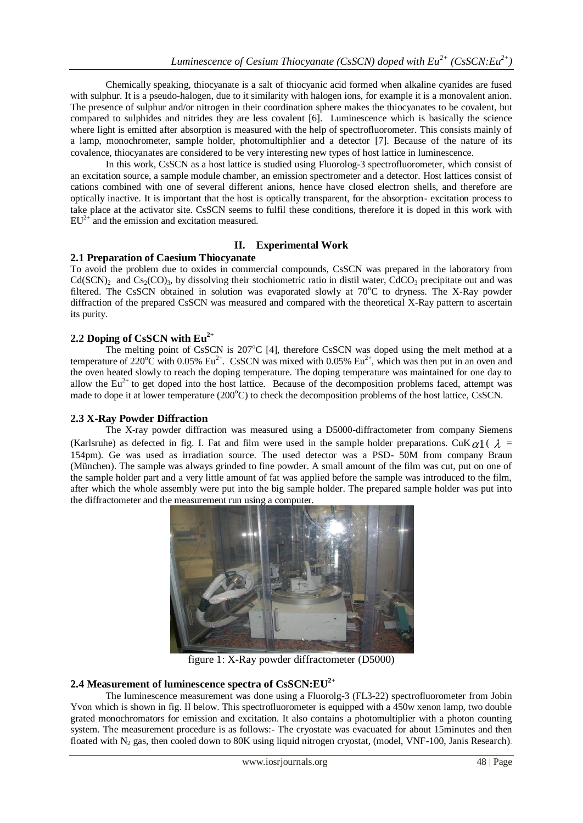Chemically speaking, thiocyanate is a salt of thiocyanic acid formed when alkaline cyanides are fused with sulphur. It is a pseudo-halogen, due to it similarity with halogen ions, for example it is a monovalent anion. The presence of sulphur and/or nitrogen in their coordination sphere makes the thiocyanates to be covalent, but compared to sulphides and nitrides they are less covalent [6]. Luminescence which is basically the science where light is emitted after absorption is measured with the help of spectrofluorometer. This consists mainly of a lamp, monochrometer, sample holder, photomultiphlier and a detector [7]. Because of the nature of its covalence, thiocyanates are considered to be very interesting new types of host lattice in luminescence.

In this work, CsSCN as a host lattice is studied using Fluorolog-3 spectrofluorometer, which consist of an excitation source, a sample module chamber, an emission spectrometer and a detector. Host lattices consist of cations combined with one of several different anions, hence have closed electron shells, and therefore are optically inactive. It is important that the host is optically transparent, for the absorption- excitation process to take place at the activator site. CsSCN seems to fulfil these conditions, therefore it is doped in this work with  $EU^{2+}$  and the emission and excitation measured.

# **II. Experimental Work**

## **2.1 Preparation of Caesium Thiocyanate**

To avoid the problem due to oxides in commercial compounds, CsSCN was prepared in the laboratory from  $Cd(SCN)_2$  and  $Cs_2(CO)_3$ , by dissolving their stochiometric ratio in distil water, CdCO<sub>3</sub> precipitate out and was filtered. The CsSCN obtained in solution was evaporated slowly at  $70^{\circ}$ C to dryness. The X-Ray powder diffraction of the prepared CsSCN was measured and compared with the theoretical X-Ray pattern to ascertain its purity.

# **2.2 Doping of CsSCN with Eu2+**

The melting point of CsSCN is  $207^{\circ}C$  [4], therefore CsSCN was doped using the melt method at a temperature of 220 $\rm{°C}$  with 0.05% Eu<sup>2+</sup>. CsSCN was mixed with 0.05% Eu<sup>2+</sup>, which was then put in an oven and the oven heated slowly to reach the doping temperature. The doping temperature was maintained for one day to allow the  $Eu^{2+}$  to get doped into the host lattice. Because of the decomposition problems faced, attempt was made to dope it at lower temperature  $(200^{\circ}C)$  to check the decomposition problems of the host lattice, CsSCN.

## **2.3 X-Ray Powder Diffraction**

The X-ray powder diffraction was measured using a D5000-diffractometer from company Siemens (Karlsruhe) as defected in fig. I. Fat and film were used in the sample holder preparations. CuK $\alpha$ 1 ( $\lambda$  = 154pm). Ge was used as irradiation source. The used detector was a PSD- 50M from company Braun (München). The sample was always grinded to fine powder. A small amount of the film was cut, put on one of the sample holder part and a very little amount of fat was applied before the sample was introduced to the film, after which the whole assembly were put into the big sample holder. The prepared sample holder was put into the diffractometer and the measurement run using a computer.



figure 1: X-Ray powder diffractometer (D5000)

# **2.4 Measurement of luminescence spectra of CsSCN:EU2+**

The luminescence measurement was done using a Fluorolg-3 (FL3-22) spectrofluorometer from Jobin Yvon which is shown in fig. II below. This spectrofluorometer is equipped with a 450w xenon lamp, two double grated monochromators for emission and excitation. It also contains a photomultiplier with a photon counting system. The measurement procedure is as follows:- The cryostate was evacuated for about 15minutes and then floated with  $N_2$  gas, then cooled down to 80K using liquid nitrogen cryostat, (model, VNF-100, Janis Research).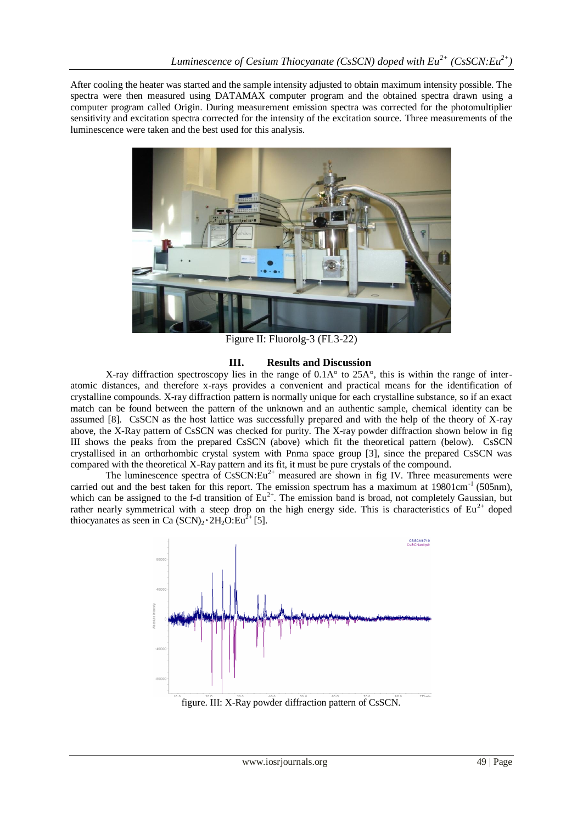After cooling the heater was started and the sample intensity adjusted to obtain maximum intensity possible. The spectra were then measured using DATAMAX computer program and the obtained spectra drawn using a computer program called Origin. During measurement emission spectra was corrected for the photomultiplier sensitivity and excitation spectra corrected for the intensity of the excitation source. Three measurements of the luminescence were taken and the best used for this analysis.



Figure II: Fluorolg-3 (FL3-22)

## **III. Results and Discussion**

X-ray diffraction spectroscopy lies in the range of 0.1A° to 25A°, this is within the range of interatomic distances, and therefore x-rays provides a convenient and practical means for the identification of crystalline compounds. X-ray diffraction pattern is normally unique for each crystalline substance, so if an exact match can be found between the pattern of the unknown and an authentic sample, chemical identity can be assumed [8]. CsSCN as the host lattice was successfully prepared and with the help of the theory of X-ray above, the X-Ray pattern of CsSCN was checked for purity. The X-ray powder diffraction shown below in fig III shows the peaks from the prepared CsSCN (above) which fit the theoretical pattern (below). CsSCN crystallised in an orthorhombic crystal system with Pnma space group [3], since the prepared CsSCN was compared with the theoretical X-Ray pattern and its fit, it must be pure crystals of the compound.

The luminescence spectra of  $CsSCN:Eu^{2+}$  measured are shown in fig IV. Three measurements were carried out and the best taken for this report. The emission spectrum has a maximum at  $19801 \text{cm}^{-1}$  (505nm), which can be assigned to the f-d transition of  $Eu^{2+}$ . The emission band is broad, not completely Gaussian, but rather nearly symmetrical with a steep drop on the high energy side. This is characteristics of  $Eu^{2+}$  doped thiocyanates as seen in Ca  $(SCN)_2 \cdot 2H_2O:Eu^{2+}[5]$ .



figure. III: X-Ray powder diffraction pattern of CsSCN.